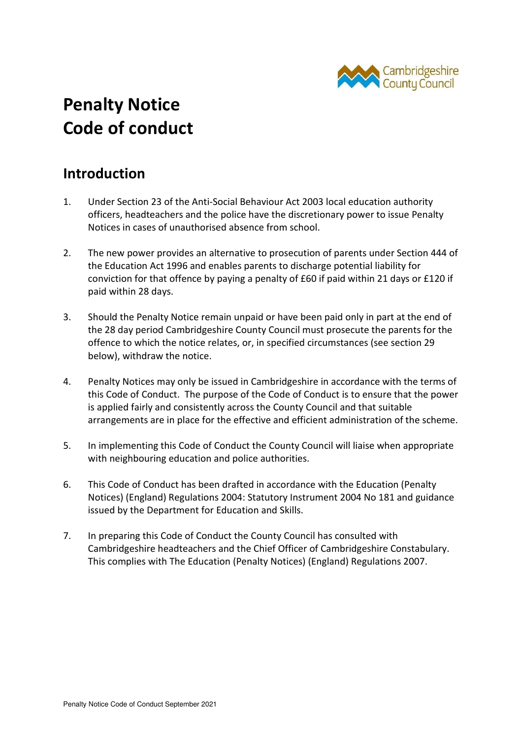

# **Penalty Notice Code of conduct**

#### **Introduction**

- 1. Under Section 23 of the Anti-Social Behaviour Act 2003 local education authority officers, headteachers and the police have the discretionary power to issue Penalty Notices in cases of unauthorised absence from school.
- 2. The new power provides an alternative to prosecution of parents under Section 444 of the Education Act 1996 and enables parents to discharge potential liability for conviction for that offence by paying a penalty of £60 if paid within 21 days or £120 if paid within 28 days.
- 3. Should the Penalty Notice remain unpaid or have been paid only in part at the end of the 28 day period Cambridgeshire County Council must prosecute the parents for the offence to which the notice relates, or, in specified circumstances (see section 29 below), withdraw the notice.
- 4. Penalty Notices may only be issued in Cambridgeshire in accordance with the terms of this Code of Conduct. The purpose of the Code of Conduct is to ensure that the power is applied fairly and consistently across the County Council and that suitable arrangements are in place for the effective and efficient administration of the scheme.
- 5. In implementing this Code of Conduct the County Council will liaise when appropriate with neighbouring education and police authorities.
- 6. This Code of Conduct has been drafted in accordance with the Education (Penalty Notices) (England) Regulations 2004: Statutory Instrument 2004 No 181 and guidance issued by the Department for Education and Skills.
- 7. In preparing this Code of Conduct the County Council has consulted with Cambridgeshire headteachers and the Chief Officer of Cambridgeshire Constabulary. This complies with The Education (Penalty Notices) (England) Regulations 2007.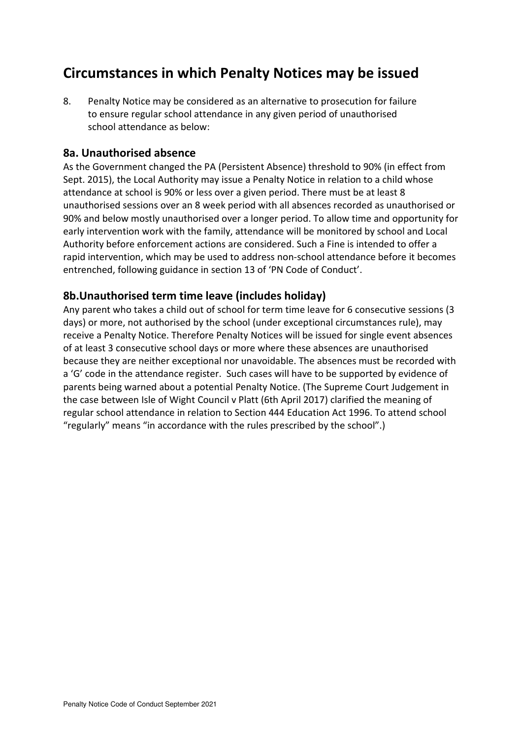### **Circumstances in which Penalty Notices may be issued**

8. Penalty Notice may be considered as an alternative to prosecution for failure to ensure regular school attendance in any given period of unauthorised school attendance as below:

#### **8a. Unauthorised absence**

As the Government changed the PA (Persistent Absence) threshold to 90% (in effect from Sept. 2015), the Local Authority may issue a Penalty Notice in relation to a child whose attendance at school is 90% or less over a given period. There must be at least 8 unauthorised sessions over an 8 week period with all absences recorded as unauthorised or 90% and below mostly unauthorised over a longer period. To allow time and opportunity for early intervention work with the family, attendance will be monitored by school and Local Authority before enforcement actions are considered. Such a Fine is intended to offer a rapid intervention, which may be used to address non-school attendance before it becomes entrenched, following guidance in section 13 of 'PN Code of Conduct'.

#### **8b.Unauthorised term time leave (includes holiday)**

Any parent who takes a child out of school for term time leave for 6 consecutive sessions (3 days) or more, not authorised by the school (under exceptional circumstances rule), may receive a Penalty Notice. Therefore Penalty Notices will be issued for single event absences of at least 3 consecutive school days or more where these absences are unauthorised because they are neither exceptional nor unavoidable. The absences must be recorded with a 'G' code in the attendance register. Such cases will have to be supported by evidence of parents being warned about a potential Penalty Notice. (The Supreme Court Judgement in the case between Isle of Wight Council v Platt (6th April 2017) clarified the meaning of regular school attendance in relation to Section 444 Education Act 1996. To attend school "regularly" means "in accordance with the rules prescribed by the school".)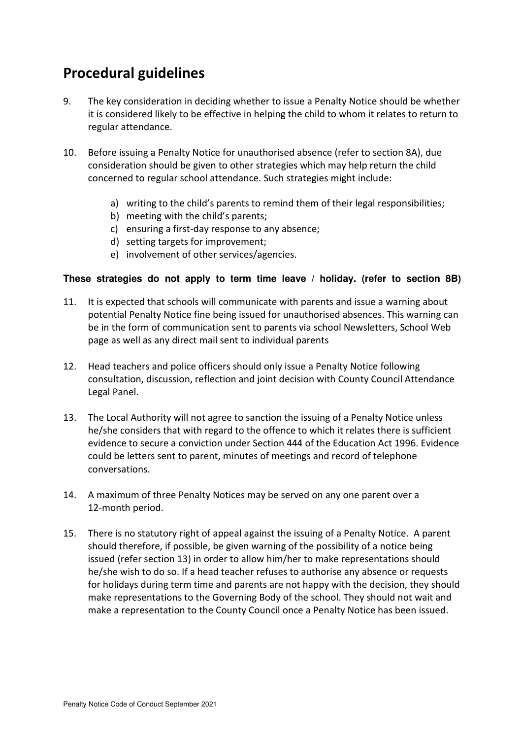# **Procedural guidelines**

- 9. The key consideration in deciding whether to issue a Penalty Notice should be whether it is considered likely to be effective in helping the child to whom it relates to return to regular attendance.
- 10. Before issuing a Penalty Notice for unauthorised absence (refer to section 8A), due consideration should be given to other strategies which may help return the child concerned to regular school attendance. Such strategies might include:
	- a) writing to the child's parents to remind them of their legal responsibilities;
	- b) meeting with the child's parents;
	- c) ensuring a first-day response to any absence;
	- d) setting targets for improvement;
	- e) involvement of other services/agencies.

#### **These strategies do not apply to term time leave / holiday. (refer to section 8B)**

- 11. It is expected that schools will communicate with parents and issue a warning about potential Penalty Notice fine being issued for unauthorised absences. This warning can be in the form of communication sent to parents via school Newsletters, School Web page as well as any direct mail sent to individual parents
- 12. Head teachers and police officers should only issue a Penalty Notice following consultation, discussion, reflection and joint decision with County Council Attendance Legal Panel.
- 13. The Local Authority will not agree to sanction the issuing of a Penalty Notice unless he/she considers that with regard to the offence to which it relates there is sufficient evidence to secure a conviction under Section 444 of the Education Act 1996. Evidence could be letters sent to parent, minutes of meetings and record of telephone conversations.
- 14. A maximum of three Penalty Notices may be served on any one parent over a 12-month period.
- 15. There is no statutory right of appeal against the issuing of a Penalty Notice. A parent should therefore, if possible, be given warning of the possibility of a notice being issued (refer section 13) in order to allow him/her to make representations should he/she wish to do so. If a head teacher refuses to authorise any absence or requests for holidays during term time and parents are not happy with the decision, they should make representations to the Governing Body of the school. They should not wait and make a representation to the County Council once a Penalty Notice has been issued.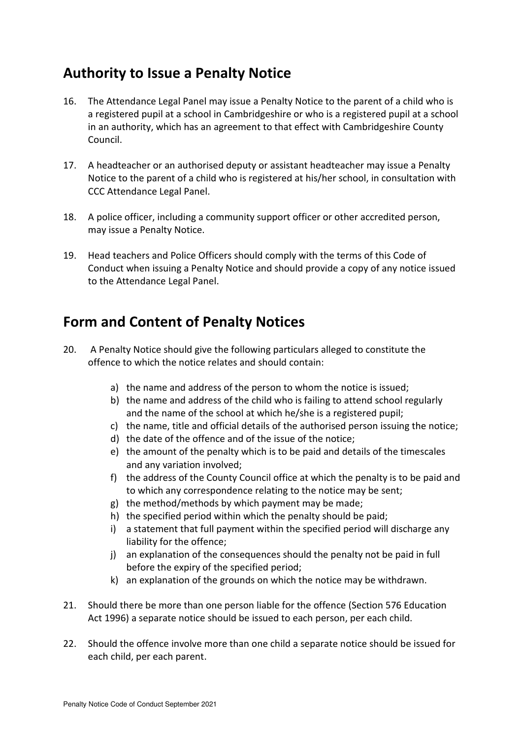# **Authority to Issue a Penalty Notice**

- 16. The Attendance Legal Panel may issue a Penalty Notice to the parent of a child who is a registered pupil at a school in Cambridgeshire or who is a registered pupil at a school in an authority, which has an agreement to that effect with Cambridgeshire County Council.
- 17. A headteacher or an authorised deputy or assistant headteacher may issue a Penalty Notice to the parent of a child who is registered at his/her school, in consultation with CCC Attendance Legal Panel.
- 18. A police officer, including a community support officer or other accredited person, may issue a Penalty Notice.
- 19. Head teachers and Police Officers should comply with the terms of this Code of Conduct when issuing a Penalty Notice and should provide a copy of any notice issued to the Attendance Legal Panel.

### **Form and Content of Penalty Notices**

- 20. A Penalty Notice should give the following particulars alleged to constitute the offence to which the notice relates and should contain:
	- a) the name and address of the person to whom the notice is issued;
	- b) the name and address of the child who is failing to attend school regularly and the name of the school at which he/she is a registered pupil;
	- c) the name, title and official details of the authorised person issuing the notice;
	- d) the date of the offence and of the issue of the notice;
	- e) the amount of the penalty which is to be paid and details of the timescales and any variation involved;
	- f) the address of the County Council office at which the penalty is to be paid and to which any correspondence relating to the notice may be sent;
	- g) the method/methods by which payment may be made;
	- h) the specified period within which the penalty should be paid;
	- i) a statement that full payment within the specified period will discharge any liability for the offence;
	- j) an explanation of the consequences should the penalty not be paid in full before the expiry of the specified period;
	- k) an explanation of the grounds on which the notice may be withdrawn.
- 21. Should there be more than one person liable for the offence (Section 576 Education Act 1996) a separate notice should be issued to each person, per each child.
- 22. Should the offence involve more than one child a separate notice should be issued for each child, per each parent.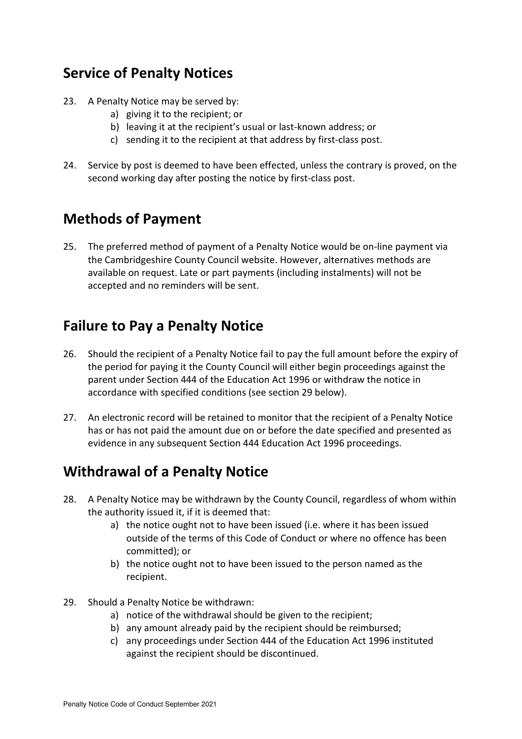### **Service of Penalty Notices**

- 23. A Penalty Notice may be served by:
	- a) giving it to the recipient; or
	- b) leaving it at the recipient's usual or last-known address; or
	- c) sending it to the recipient at that address by first-class post.
- 24. Service by post is deemed to have been effected, unless the contrary is proved, on the second working day after posting the notice by first-class post.

### **Methods of Payment**

25. The preferred method of payment of a Penalty Notice would be on-line payment via the Cambridgeshire County Council website. However, alternatives methods are available on request. Late or part payments (including instalments) will not be accepted and no reminders will be sent.

#### **Failure to Pay a Penalty Notice**

- 26. Should the recipient of a Penalty Notice fail to pay the full amount before the expiry of the period for paying it the County Council will either begin proceedings against the parent under Section 444 of the Education Act 1996 or withdraw the notice in accordance with specified conditions (see section 29 below).
- 27. An electronic record will be retained to monitor that the recipient of a Penalty Notice has or has not paid the amount due on or before the date specified and presented as evidence in any subsequent Section 444 Education Act 1996 proceedings.

#### **Withdrawal of a Penalty Notice**

- 28. A Penalty Notice may be withdrawn by the County Council, regardless of whom within the authority issued it, if it is deemed that:
	- a) the notice ought not to have been issued (i.e. where it has been issued outside of the terms of this Code of Conduct or where no offence has been committed); or
	- b) the notice ought not to have been issued to the person named as the recipient.
- 29. Should a Penalty Notice be withdrawn:
	- a) notice of the withdrawal should be given to the recipient;
	- b) any amount already paid by the recipient should be reimbursed;
	- c) any proceedings under Section 444 of the Education Act 1996 instituted against the recipient should be discontinued.